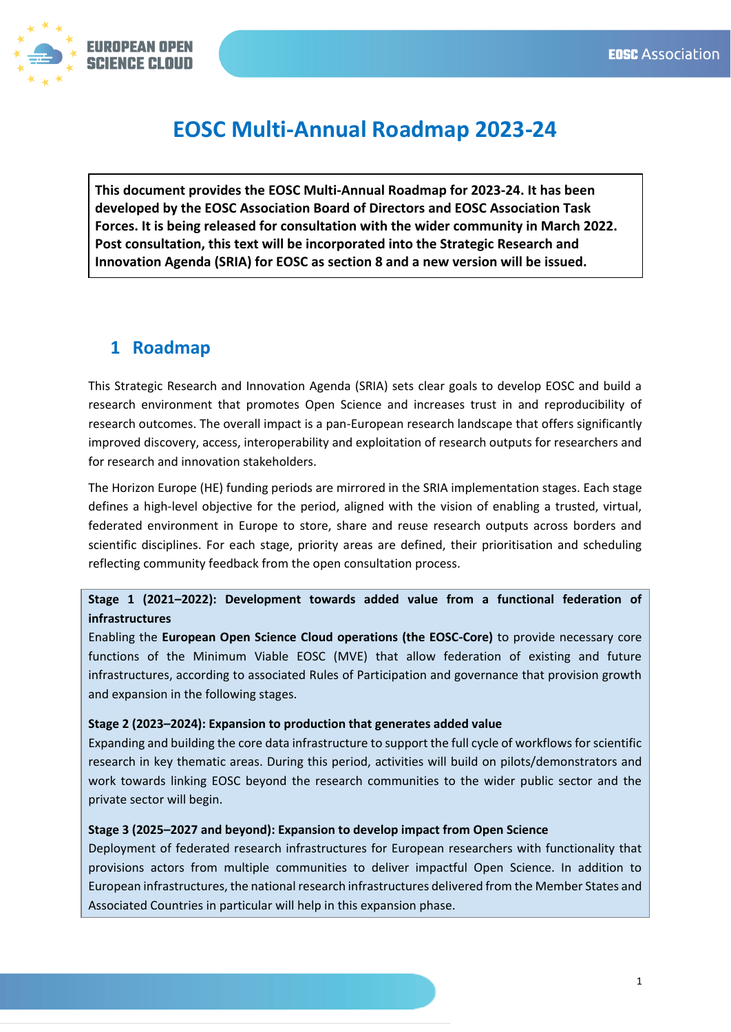

# **EOSC Multi-Annual Roadmap 2023-24**

**This document provides the EOSC Multi-Annual Roadmap for 2023-24. It has been developed by the EOSC Association Board of Directors and EOSC Association Task Forces. It is being released for consultation with the wider community in March 2022. Post consultation, this text will be incorporated into the Strategic Research and Innovation Agenda (SRIA) for EOSC as section 8 and a new version will be issued.**

# **1 Roadmap**

This Strategic Research and Innovation Agenda (SRIA) sets clear goals to develop EOSC and build a research environment that promotes Open Science and increases trust in and reproducibility of research outcomes. The overall impact is a pan-European research landscape that offers significantly improved discovery, access, interoperability and exploitation of research outputs for researchers and for research and innovation stakeholders.

The Horizon Europe (HE) funding periods are mirrored in the SRIA implementation stages. Each stage defines a high-level objective for the period, aligned with the vision of enabling a trusted, virtual, federated environment in Europe to store, share and reuse research outputs across borders and scientific disciplines. For each stage, priority areas are defined, their prioritisation and scheduling reflecting community feedback from the open consultation process.

### **Stage 1 (2021–2022): Development towards added value from a functional federation of infrastructures**

Enabling the **European Open Science Cloud operations (the EOSC-Core)** to provide necessary core functions of the Minimum Viable EOSC (MVE) that allow federation of existing and future infrastructures, according to associated Rules of Participation and governance that provision growth and expansion in the following stages.

#### **Stage 2 (2023–2024): Expansion to production that generates added value**

Expanding and building the core data infrastructure to support the full cycle of workflows for scientific research in key thematic areas. During this period, activities will build on pilots/demonstrators and work towards linking EOSC beyond the research communities to the wider public sector and the private sector will begin.

#### **Stage 3 (2025–2027 and beyond): Expansion to develop impact from Open Science**

Deployment of federated research infrastructures for European researchers with functionality that provisions actors from multiple communities to deliver impactful Open Science. In addition to European infrastructures, the national research infrastructures delivered from the Member States and Associated Countries in particular will help in this expansion phase.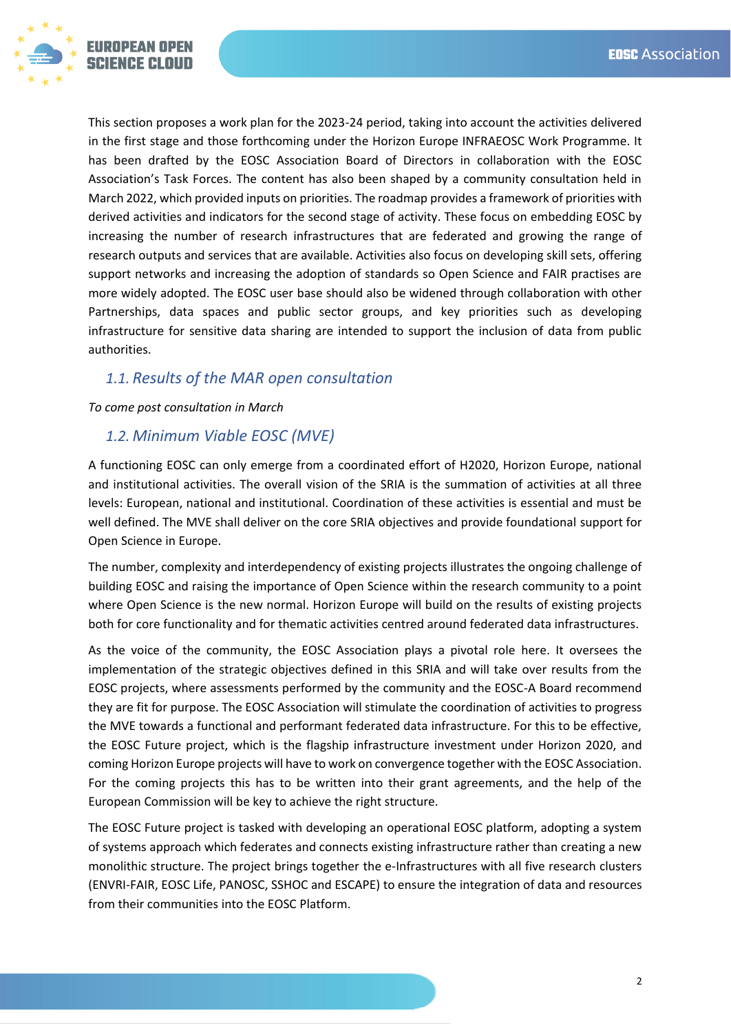

This section proposes a work plan for the 2023-24 period, taking into account the activities delivered in the first stage and those forthcoming under the Horizon Europe INFRAEOSC Work Programme. It has been drafted by the EOSC Association Board of Directors in collaboration with the EOSC Association's Task Forces. The content has also been shaped by a community consultation held in March 2022, which provided inputs on priorities. The roadmap provides a framework of priorities with derived activities and indicators for the second stage of activity. These focus on embedding EOSC by increasing the number of research infrastructures that are federated and growing the range of research outputs and services that are available. Activities also focus on developing skill sets, offering support networks and increasing the adoption of standards so Open Science and FAIR practises are more widely adopted. The EOSC user base should also be widened through collaboration with other Partnerships, data spaces and public sector groups, and key priorities such as developing infrastructure for sensitive data sharing are intended to support the inclusion of data from public authorities.

# *1.1. Results of the MAR open consultation*

*To come post consultation in March*

# *1.2. Minimum Viable EOSC (MVE)*

A functioning EOSC can only emerge from a coordinated effort of H2020, Horizon Europe, national and institutional activities. The overall vision of the SRIA is the summation of activities at all three levels: European, national and institutional. Coordination of these activities is essential and must be well defined. The MVE shall deliver on the core SRIA objectives and provide foundational support for Open Science in Europe.

The number, complexity and interdependency of existing projects illustrates the ongoing challenge of building EOSC and raising the importance of Open Science within the research community to a point where Open Science is the new normal. Horizon Europe will build on the results of existing projects both for core functionality and for thematic activities centred around federated data infrastructures.

As the voice of the community, the EOSC Association plays a pivotal role here. It oversees the implementation of the strategic objectives defined in this SRIA and will take over results from the EOSC projects, where assessments performed by the community and the EOSC-A Board recommend they are fit for purpose. The EOSC Association will stimulate the coordination of activities to progress the MVE towards a functional and performant federated data infrastructure. For this to be effective, the EOSC Future project, which is the flagship infrastructure investment under Horizon 2020, and coming Horizon Europe projects will have to work on convergence together with the EOSC Association. For the coming projects this has to be written into their grant agreements, and the help of the European Commission will be key to achieve the right structure.

The EOSC Future project is tasked with developing an operational EOSC platform, adopting a system of systems approach which federates and connects existing infrastructure rather than creating a new monolithic structure. The project brings together the e-Infrastructures with all five research clusters (ENVRI-FAIR, EOSC Life, PANOSC, SSHOC and ESCAPE) to ensure the integration of data and resources from their communities into the EOSC Platform.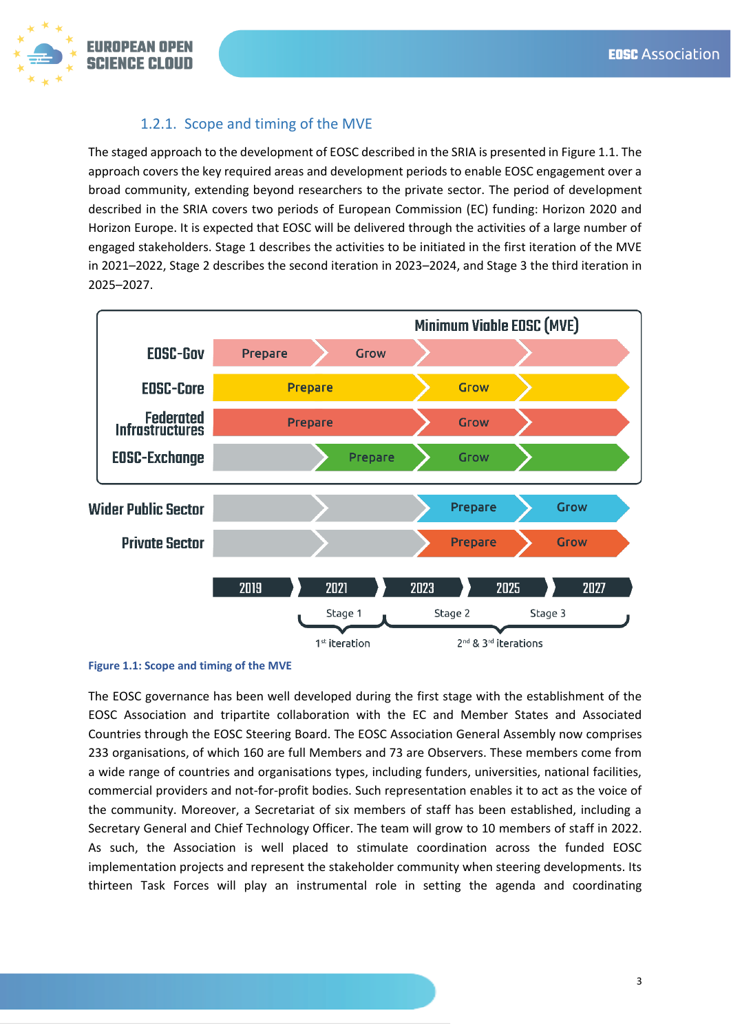

# 1.2.1. Scope and timing of the MVE

The staged approach to the development of EOSC described in the SRIA is presented in Figure 1.1. The approach covers the key required areas and development periods to enable EOSC engagement over a broad community, extending beyond researchers to the private sector. The period of development described in the SRIA covers two periods of European Commission (EC) funding: Horizon 2020 and Horizon Europe. It is expected that EOSC will be delivered through the activities of a large number of engaged stakeholders. Stage 1 describes the activities to be initiated in the first iteration of the MVE in 2021–2022, Stage 2 describes the second iteration in 2023–2024, and Stage 3 the third iteration in 2025–2027.



**Figure 1.1: Scope and timing of the MVE**

The EOSC governance has been well developed during the first stage with the establishment of the EOSC Association and tripartite collaboration with the EC and Member States and Associated Countries through the EOSC Steering Board. The EOSC Association General Assembly now comprises 233 organisations, of which 160 are full Members and 73 are Observers. These members come from a wide range of countries and organisations types, including funders, universities, national facilities, commercial providers and not-for-profit bodies. Such representation enables it to act as the voice of the community. Moreover, a Secretariat of six members of staff has been established, including a Secretary General and Chief Technology Officer. The team will grow to 10 members of staff in 2022. As such, the Association is well placed to stimulate coordination across the funded EOSC implementation projects and represent the stakeholder community when steering developments. Its thirteen Task Forces will play an instrumental role in setting the agenda and coordinating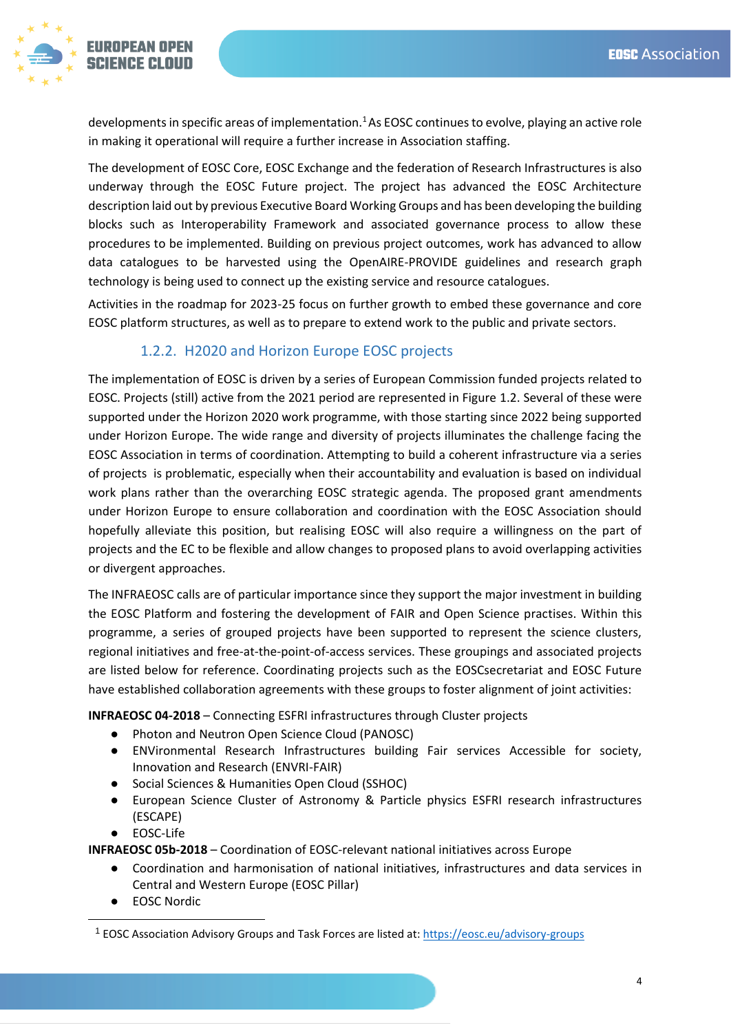

developments in specific areas of implementation.<sup>1</sup> As EOSC continues to evolve, playing an active role in making it operational will require a further increase in Association staffing.

The development of EOSC Core, EOSC Exchange and the federation of Research Infrastructures is also underway through the EOSC Future project. The project has advanced the EOSC Architecture description laid out by previous Executive Board Working Groups and has been developing the building blocks such as Interoperability Framework and associated governance process to allow these procedures to be implemented. Building on previous project outcomes, work has advanced to allow data catalogues to be harvested using the OpenAIRE-PROVIDE guidelines and research graph technology is being used to connect up the existing service and resource catalogues.

Activities in the roadmap for 2023-25 focus on further growth to embed these governance and core EOSC platform structures, as well as to prepare to extend work to the public and private sectors.

# 1.2.2. H2020 and Horizon Europe EOSC projects

The implementation of EOSC is driven by a series of European Commission funded projects related to EOSC. Projects (still) active from the 2021 period are represented in Figure 1.2. Several of these were supported under the Horizon 2020 work programme, with those starting since 2022 being supported under Horizon Europe. The wide range and diversity of projects illuminates the challenge facing the EOSC Association in terms of coordination. Attempting to build a coherent infrastructure via a series of projects is problematic, especially when their accountability and evaluation is based on individual work plans rather than the overarching EOSC strategic agenda. The proposed grant amendments under Horizon Europe to ensure collaboration and coordination with the EOSC Association should hopefully alleviate this position, but realising EOSC will also require a willingness on the part of projects and the EC to be flexible and allow changes to proposed plans to avoid overlapping activities or divergent approaches.

The INFRAEOSC calls are of particular importance since they support the major investment in building the EOSC Platform and fostering the development of FAIR and Open Science practises. Within this programme, a series of grouped projects have been supported to represent the science clusters, regional initiatives and free-at-the-point-of-access services. These groupings and associated projects are listed below for reference. Coordinating projects such as the EOSCsecretariat and EOSC Future have established collaboration agreements with these groups to foster alignment of joint activities:

**INFRAEOSC 04-2018** – Connecting ESFRI infrastructures through Cluster projects

- Photon and Neutron Open Science Cloud (PANOSC)
- ENVironmental Research Infrastructures building Fair services Accessible for society, Innovation and Research (ENVRI-FAIR)
- Social Sciences & Humanities Open Cloud (SSHOC)
- European Science Cluster of Astronomy & Particle physics ESFRI research infrastructures (ESCAPE)
- EOSC-Life

**INFRAEOSC 05b-2018** – Coordination of EOSC-relevant national initiatives across Europe

- Coordination and harmonisation of national initiatives, infrastructures and data services in Central and Western Europe (EOSC Pillar)
- EOSC Nordic

<sup>&</sup>lt;sup>1</sup> EOSC Association Advisory Groups and Task Forces are listed at:<https://eosc.eu/advisory-groups>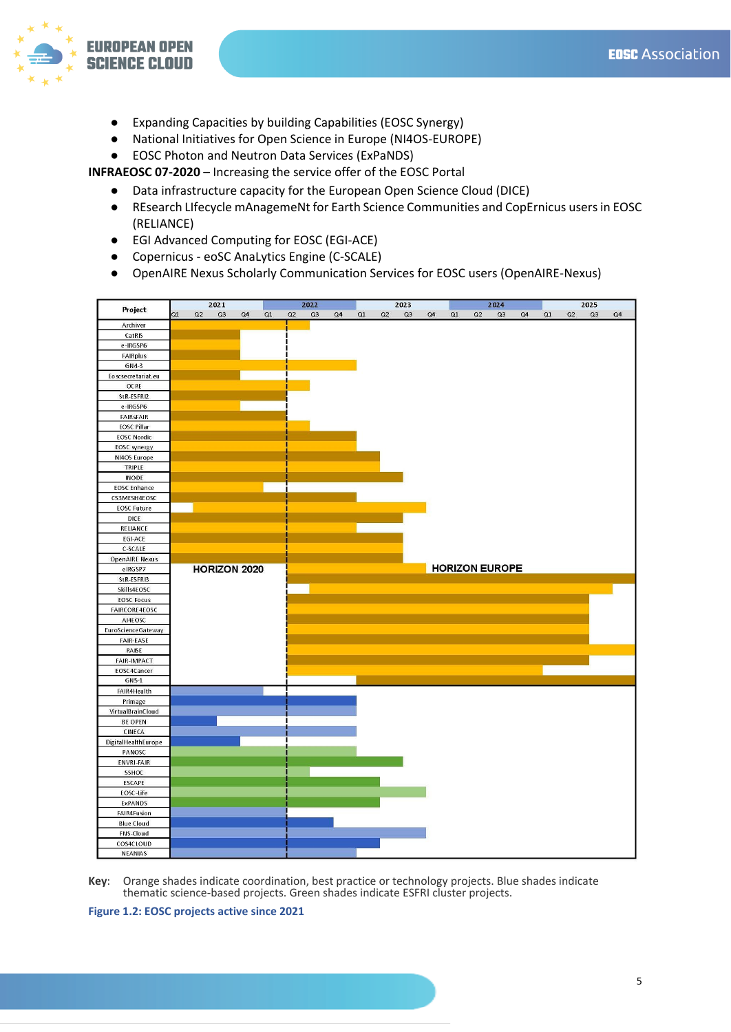

- Expanding Capacities by building Capabilities (EOSC Synergy)
- National Initiatives for Open Science in Europe (NI4OS-EUROPE)
- EOSC Photon and Neutron Data Services (ExPaNDS)

**INFRAEOSC 07-2020** – Increasing the service offer of the EOSC Portal

- Data infrastructure capacity for the European Open Science Cloud (DICE)
- REsearch LIfecycle mAnagemeNt for Earth Science Communities and CopErnicus users in EOSC (RELIANCE)
- EGI Advanced Computing for EOSC (EGI-ACE)
- Copernicus eoSC AnaLytics Engine (C-SCALE)
- OpenAIRE Nexus Scholarly Communication Services for EOSC users (OpenAIRE-Nexus)



**Key**: Orange shades indicate coordination, best practice or technology projects. Blue shades indicate thematic science-based projects. Green shades indicate ESFRI cluster projects.

**Figure 1.2: EOSC projects active since 2021**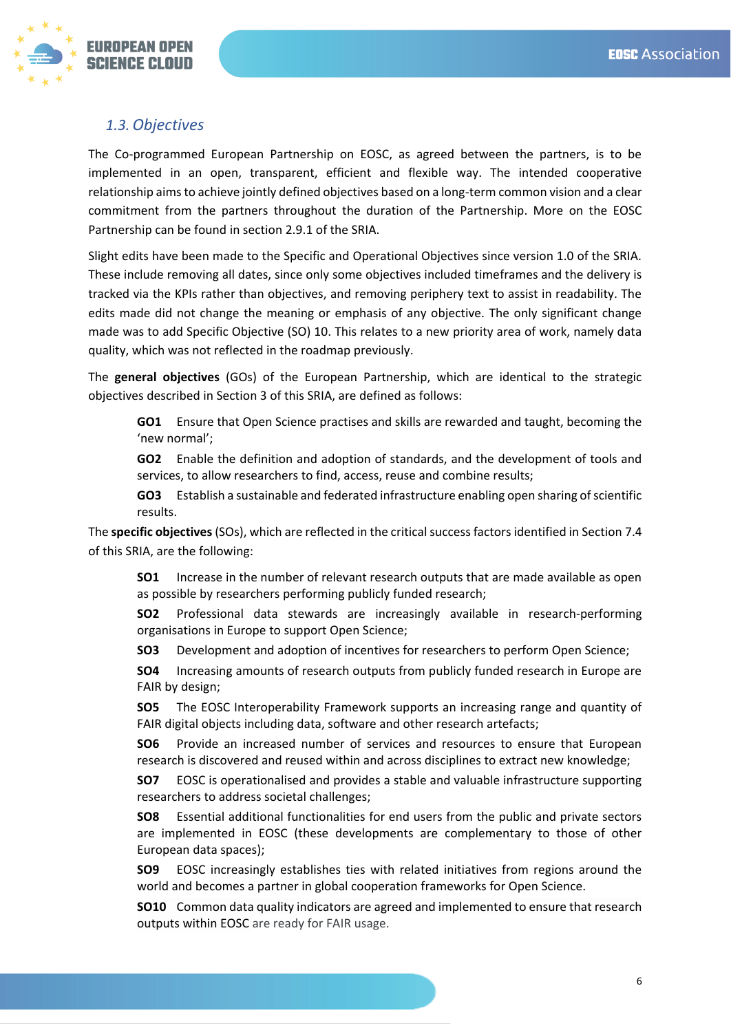

# *1.3.Objectives*

The Co-programmed European Partnership on EOSC, as agreed between the partners, is to be implemented in an open, transparent, efficient and flexible way. The intended cooperative relationship aims to achieve jointly defined objectives based on a long-term common vision and a clear commitment from the partners throughout the duration of the Partnership. More on the EOSC Partnership can be found in section 2.9.1 of the SRIA.

Slight edits have been made to the Specific and Operational Objectives since version 1.0 of the SRIA. These include removing all dates, since only some objectives included timeframes and the delivery is tracked via the KPIs rather than objectives, and removing periphery text to assist in readability. The edits made did not change the meaning or emphasis of any objective. The only significant change made was to add Specific Objective (SO) 10. This relates to a new priority area of work, namely data quality, which was not reflected in the roadmap previously.

The **general objectives** (GOs) of the European Partnership, which are identical to the strategic objectives described in Section 3 of this SRIA, are defined as follows:

**GO1** Ensure that Open Science practises and skills are rewarded and taught, becoming the 'new normal';

**GO2** Enable the definition and adoption of standards, and the development of tools and services, to allow researchers to find, access, reuse and combine results;

**GO3** Establish a sustainable and federated infrastructure enabling open sharing of scientific results.

The **specific objectives**(SOs), which are reflected in the critical success factors identified in Section 7.4 of this SRIA, are the following:

**SO1** Increase in the number of relevant research outputs that are made available as open as possible by researchers performing publicly funded research;

**SO2** Professional data stewards are increasingly available in research-performing organisations in Europe to support Open Science;

**SO3** Development and adoption of incentives for researchers to perform Open Science;

**SO4** Increasing amounts of research outputs from publicly funded research in Europe are FAIR by design;

**SO5** The EOSC Interoperability Framework supports an increasing range and quantity of FAIR digital objects including data, software and other research artefacts;

**SO6** Provide an increased number of services and resources to ensure that European research is discovered and reused within and across disciplines to extract new knowledge;

**SO7** EOSC is operationalised and provides a stable and valuable infrastructure supporting researchers to address societal challenges;

**SO8** Essential additional functionalities for end users from the public and private sectors are implemented in EOSC (these developments are complementary to those of other European data spaces);

**SO9** EOSC increasingly establishes ties with related initiatives from regions around the world and becomes a partner in global cooperation frameworks for Open Science.

**SO10** Common data quality indicators are agreed and implemented to ensure that research outputs within EOSC are ready for FAIR usage.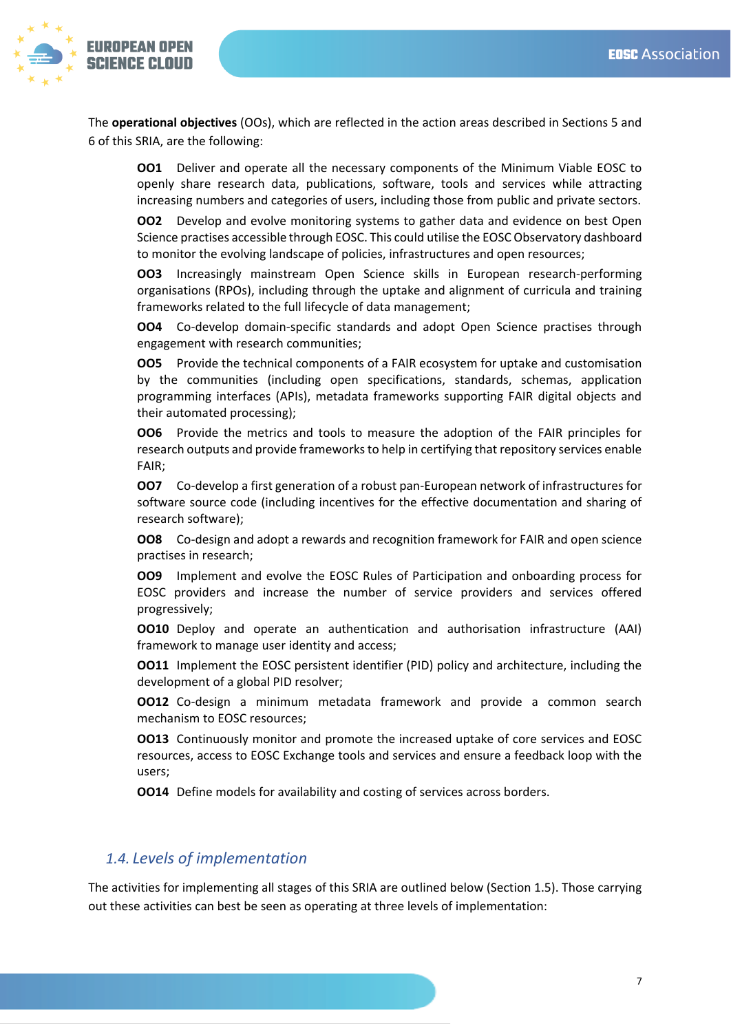

The **operational objectives** (OOs), which are reflected in the action areas described in Sections 5 and 6 of this SRIA, are the following:

**OO1** Deliver and operate all the necessary components of the Minimum Viable EOSC to openly share research data, publications, software, tools and services while attracting increasing numbers and categories of users, including those from public and private sectors.

**OO2** Develop and evolve monitoring systems to gather data and evidence on best Open Science practises accessible through EOSC. This could utilise the EOSC Observatory dashboard to monitor the evolving landscape of policies, infrastructures and open resources;

**OO3** Increasingly mainstream Open Science skills in European research-performing organisations (RPOs), including through the uptake and alignment of curricula and training frameworks related to the full lifecycle of data management;

**OO4** Co-develop domain-specific standards and adopt Open Science practises through engagement with research communities;

**OO5** Provide the technical components of a FAIR ecosystem for uptake and customisation by the communities (including open specifications, standards, schemas, application programming interfaces (APIs), metadata frameworks supporting FAIR digital objects and their automated processing);

**OO6** Provide the metrics and tools to measure the adoption of the FAIR principles for research outputs and provide frameworks to help in certifying that repository services enable FAIR;

**OO7** Co-develop a first generation of a robust pan-European network of infrastructures for software source code (including incentives for the effective documentation and sharing of research software);

**OO8** Co-design and adopt a rewards and recognition framework for FAIR and open science practises in research;

**OO9** Implement and evolve the EOSC Rules of Participation and onboarding process for EOSC providers and increase the number of service providers and services offered progressively;

**OO10** Deploy and operate an authentication and authorisation infrastructure (AAI) framework to manage user identity and access;

**OO11** Implement the EOSC persistent identifier (PID) policy and architecture, including the development of a global PID resolver;

**OO12** Co-design a minimum metadata framework and provide a common search mechanism to EOSC resources;

**OO13** Continuously monitor and promote the increased uptake of core services and EOSC resources, access to EOSC Exchange tools and services and ensure a feedback loop with the users;

**OO14** Define models for availability and costing of services across borders.

## *1.4. Levels of implementation*

The activities for implementing all stages of this SRIA are outlined below (Section 1.5). Those carrying out these activities can best be seen as operating at three levels of implementation: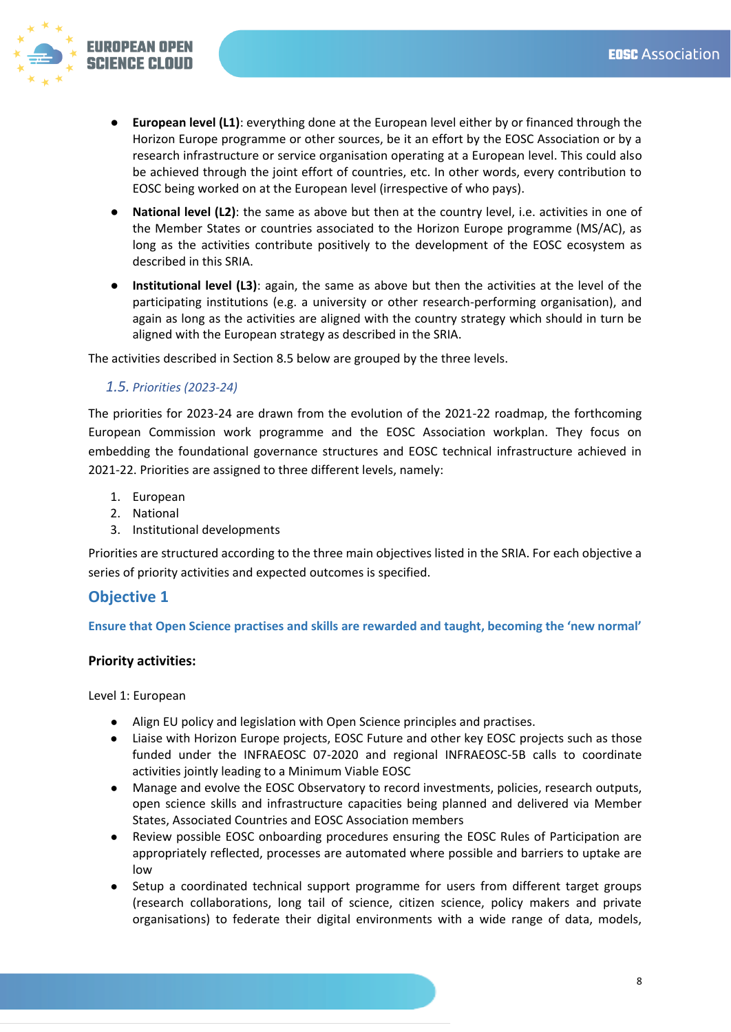

- **European level (L1)**: everything done at the European level either by or financed through the Horizon Europe programme or other sources, be it an effort by the EOSC Association or by a research infrastructure or service organisation operating at a European level. This could also be achieved through the joint effort of countries, etc. In other words, every contribution to EOSC being worked on at the European level (irrespective of who pays).
- **National level (L2)**: the same as above but then at the country level, i.e. activities in one of the Member States or countries associated to the Horizon Europe programme (MS/AC), as long as the activities contribute positively to the development of the EOSC ecosystem as described in this SRIA.
- **Institutional level (L3)**: again, the same as above but then the activities at the level of the participating institutions (e.g. a university or other research-performing organisation), and again as long as the activities are aligned with the country strategy which should in turn be aligned with the European strategy as described in the SRIA.

The activities described in Section 8.5 below are grouped by the three levels.

#### *1.5. Priorities (2023-24)*

The priorities for 2023-24 are drawn from the evolution of the 2021-22 roadmap, the forthcoming European Commission work programme and the EOSC Association workplan. They focus on embedding the foundational governance structures and EOSC technical infrastructure achieved in 2021-22. Priorities are assigned to three different levels, namely:

- 1. European
- 2. National
- 3. Institutional developments

Priorities are structured according to the three main objectives listed in the SRIA. For each objective a series of priority activities and expected outcomes is specified.

### **Objective 1**

**Ensure that Open Science practises and skills are rewarded and taught, becoming the 'new normal'**

#### **Priority activities:**

Level 1: European

- Align EU policy and legislation with Open Science principles and practises.
- Liaise with Horizon Europe projects, EOSC Future and other key EOSC projects such as those funded under the INFRAEOSC 07-2020 and regional INFRAEOSC-5B calls to coordinate activities jointly leading to a Minimum Viable EOSC
- Manage and evolve the EOSC Observatory to record investments, policies, research outputs, open science skills and infrastructure capacities being planned and delivered via Member States, Associated Countries and EOSC Association members
- Review possible EOSC onboarding procedures ensuring the EOSC Rules of Participation are appropriately reflected, processes are automated where possible and barriers to uptake are low
- Setup a coordinated technical support programme for users from different target groups (research collaborations, long tail of science, citizen science, policy makers and private organisations) to federate their digital environments with a wide range of data, models,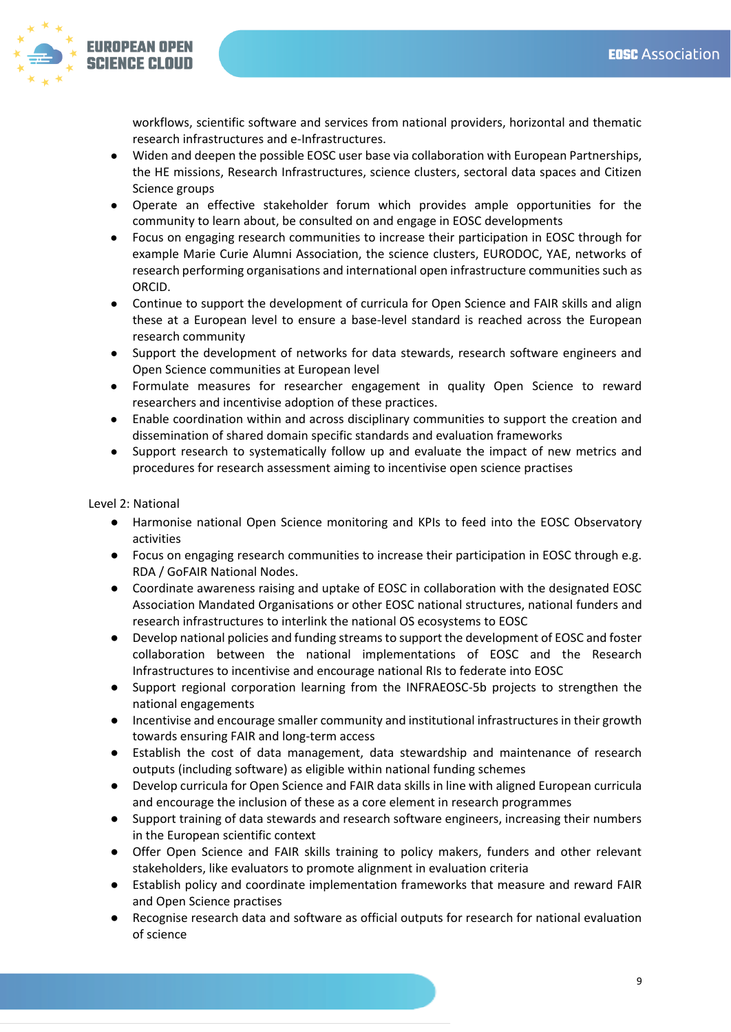

FIIDNPFAN

workflows, scientific software and services from national providers, horizontal and thematic research infrastructures and e-Infrastructures.

- Widen and deepen the possible EOSC user base via collaboration with European Partnerships, the HE missions, Research Infrastructures, science clusters, sectoral data spaces and Citizen Science groups
- Operate an effective stakeholder forum which provides ample opportunities for the community to learn about, be consulted on and engage in EOSC developments
- Focus on engaging research communities to increase their participation in EOSC through for example Marie Curie Alumni Association, the science clusters, EURODOC, YAE, networks of research performing organisations and international open infrastructure communities such as ORCID.
- Continue to support the development of curricula for Open Science and FAIR skills and align these at a European level to ensure a base-level standard is reached across the European research community
- Support the development of networks for data stewards, research software engineers and Open Science communities at European level
- Formulate measures for researcher engagement in quality Open Science to reward researchers and incentivise adoption of these practices.
- Enable coordination within and across disciplinary communities to support the creation and dissemination of shared domain specific standards and evaluation frameworks
- Support research to systematically follow up and evaluate the impact of new metrics and procedures for research assessment aiming to incentivise open science practises

Level 2: National

- Harmonise national Open Science monitoring and KPIs to feed into the EOSC Observatory activities
- Focus on engaging research communities to increase their participation in EOSC through e.g. RDA / GoFAIR National Nodes.
- Coordinate awareness raising and uptake of EOSC in collaboration with the designated EOSC Association Mandated Organisations or other EOSC national structures, national funders and research infrastructures to interlink the national OS ecosystems to EOSC
- Develop national policies and funding streams to support the development of EOSC and foster collaboration between the national implementations of EOSC and the Research Infrastructures to incentivise and encourage national RIs to federate into EOSC
- Support regional corporation learning from the INFRAEOSC-5b projects to strengthen the national engagements
- Incentivise and encourage smaller community and institutional infrastructures in their growth towards ensuring FAIR and long-term access
- Establish the cost of data management, data stewardship and maintenance of research outputs (including software) as eligible within national funding schemes
- Develop curricula for Open Science and FAIR data skills in line with aligned European curricula and encourage the inclusion of these as a core element in research programmes
- Support training of data stewards and research software engineers, increasing their numbers in the European scientific context
- Offer Open Science and FAIR skills training to policy makers, funders and other relevant stakeholders, like evaluators to promote alignment in evaluation criteria
- Establish policy and coordinate implementation frameworks that measure and reward FAIR and Open Science practises
- Recognise research data and software as official outputs for research for national evaluation of science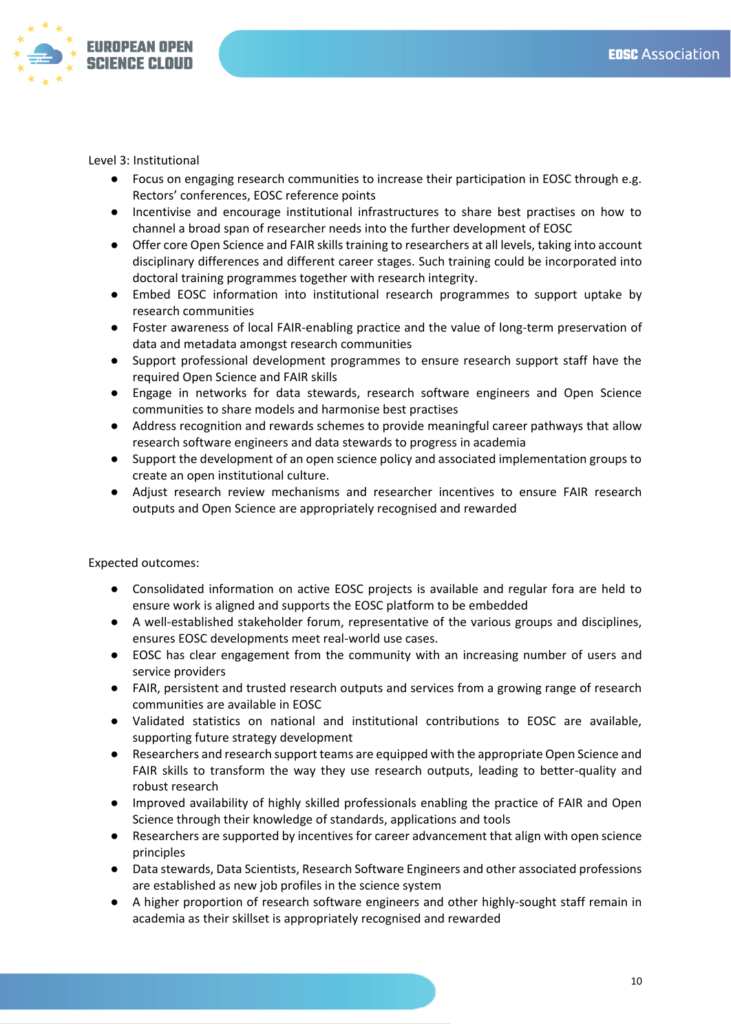

Level 3: Institutional

- Focus on engaging research communities to increase their participation in EOSC through e.g. Rectors' conferences, EOSC reference points
- Incentivise and encourage institutional infrastructures to share best practises on how to channel a broad span of researcher needs into the further development of EOSC
- Offer core Open Science and FAIR skills training to researchers at all levels, taking into account disciplinary differences and different career stages. Such training could be incorporated into doctoral training programmes together with research integrity.
- Embed EOSC information into institutional research programmes to support uptake by research communities
- Foster awareness of local FAIR-enabling practice and the value of long-term preservation of data and metadata amongst research communities
- Support professional development programmes to ensure research support staff have the required Open Science and FAIR skills
- Engage in networks for data stewards, research software engineers and Open Science communities to share models and harmonise best practises
- Address recognition and rewards schemes to provide meaningful career pathways that allow research software engineers and data stewards to progress in academia
- Support the development of an open science policy and associated implementation groups to create an open institutional culture.
- Adjust research review mechanisms and researcher incentives to ensure FAIR research outputs and Open Science are appropriately recognised and rewarded

Expected outcomes:

- Consolidated information on active EOSC projects is available and regular fora are held to ensure work is aligned and supports the EOSC platform to be embedded
- A well-established stakeholder forum, representative of the various groups and disciplines, ensures EOSC developments meet real-world use cases.
- EOSC has clear engagement from the community with an increasing number of users and service providers
- FAIR, persistent and trusted research outputs and services from a growing range of research communities are available in EOSC
- Validated statistics on national and institutional contributions to EOSC are available, supporting future strategy development
- Researchers and research support teams are equipped with the appropriate Open Science and FAIR skills to transform the way they use research outputs, leading to better-quality and robust research
- Improved availability of highly skilled professionals enabling the practice of FAIR and Open Science through their knowledge of standards, applications and tools
- Researchers are supported by incentives for career advancement that align with open science principles
- Data stewards, Data Scientists, Research Software Engineers and other associated professions are established as new job profiles in the science system
- A higher proportion of research software engineers and other highly-sought staff remain in academia as their skillset is appropriately recognised and rewarded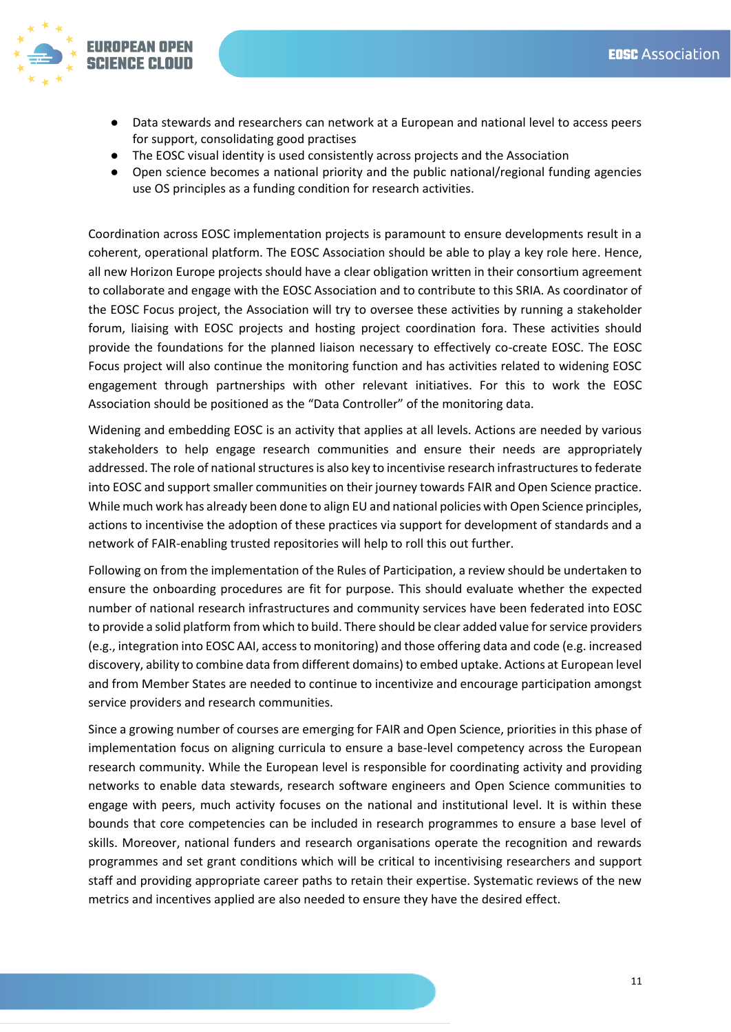

- Data stewards and researchers can network at a European and national level to access peers for support, consolidating good practises
- The EOSC visual identity is used consistently across projects and the Association
- Open science becomes a national priority and the public national/regional funding agencies use OS principles as a funding condition for research activities.

Coordination across EOSC implementation projects is paramount to ensure developments result in a coherent, operational platform. The EOSC Association should be able to play a key role here. Hence, all new Horizon Europe projects should have a clear obligation written in their consortium agreement to collaborate and engage with the EOSC Association and to contribute to this SRIA. As coordinator of the EOSC Focus project, the Association will try to oversee these activities by running a stakeholder forum, liaising with EOSC projects and hosting project coordination fora. These activities should provide the foundations for the planned liaison necessary to effectively co-create EOSC. The EOSC Focus project will also continue the monitoring function and has activities related to widening EOSC engagement through partnerships with other relevant initiatives. For this to work the EOSC Association should be positioned as the "Data Controller" of the monitoring data.

Widening and embedding EOSC is an activity that applies at all levels. Actions are needed by various stakeholders to help engage research communities and ensure their needs are appropriately addressed. The role of national structures is also key to incentivise research infrastructures to federate into EOSC and support smaller communities on their journey towards FAIR and Open Science practice. While much work has already been done to align EU and national policies with Open Science principles, actions to incentivise the adoption of these practices via support for development of standards and a network of FAIR-enabling trusted repositories will help to roll this out further.

Following on from the implementation of the Rules of Participation, a review should be undertaken to ensure the onboarding procedures are fit for purpose. This should evaluate whether the expected number of national research infrastructures and community services have been federated into EOSC to provide a solid platform from which to build. There should be clear added value for service providers (e.g., integration into EOSC AAI, access to monitoring) and those offering data and code (e.g. increased discovery, ability to combine data from different domains) to embed uptake. Actions at European level and from Member States are needed to continue to incentivize and encourage participation amongst service providers and research communities.

Since a growing number of courses are emerging for FAIR and Open Science, priorities in this phase of implementation focus on aligning curricula to ensure a base-level competency across the European research community. While the European level is responsible for coordinating activity and providing networks to enable data stewards, research software engineers and Open Science communities to engage with peers, much activity focuses on the national and institutional level. It is within these bounds that core competencies can be included in research programmes to ensure a base level of skills. Moreover, national funders and research organisations operate the recognition and rewards programmes and set grant conditions which will be critical to incentivising researchers and support staff and providing appropriate career paths to retain their expertise. Systematic reviews of the new metrics and incentives applied are also needed to ensure they have the desired effect.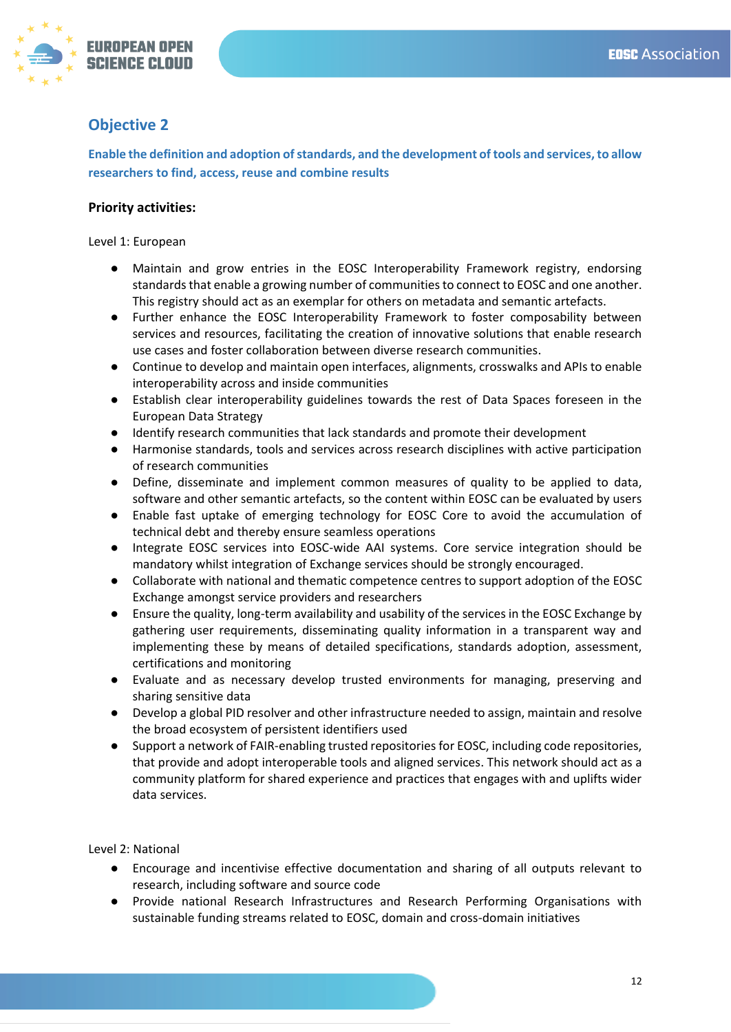

# **Objective 2**

**Enable the definition and adoption of standards, and the development of tools and services, to allow researchers to find, access, reuse and combine results**

#### **Priority activities:**

Level 1: European

- Maintain and grow entries in the EOSC Interoperability Framework registry, endorsing standards that enable a growing number of communities to connect to EOSC and one another. This registry should act as an exemplar for others on metadata and semantic artefacts.
- Further enhance the EOSC Interoperability Framework to foster composability between services and resources, facilitating the creation of innovative solutions that enable research use cases and foster collaboration between diverse research communities.
- Continue to develop and maintain open interfaces, alignments, crosswalks and APIs to enable interoperability across and inside communities
- Establish clear interoperability guidelines towards the rest of Data Spaces foreseen in the European Data Strategy
- Identify research communities that lack standards and promote their development
- Harmonise standards, tools and services across research disciplines with active participation of research communities
- Define, disseminate and implement common measures of quality to be applied to data, software and other semantic artefacts, so the content within EOSC can be evaluated by users
- Enable fast uptake of emerging technology for EOSC Core to avoid the accumulation of technical debt and thereby ensure seamless operations
- Integrate EOSC services into EOSC-wide AAI systems. Core service integration should be mandatory whilst integration of Exchange services should be strongly encouraged.
- Collaborate with national and thematic competence centres to support adoption of the EOSC Exchange amongst service providers and researchers
- Ensure the quality, long-term availability and usability of the services in the EOSC Exchange by gathering user requirements, disseminating quality information in a transparent way and implementing these by means of detailed specifications, standards adoption, assessment, certifications and monitoring
- Evaluate and as necessary develop trusted environments for managing, preserving and sharing sensitive data
- Develop a global PID resolver and other infrastructure needed to assign, maintain and resolve the broad ecosystem of persistent identifiers used
- Support a network of FAIR-enabling trusted repositories for EOSC, including code repositories, that provide and adopt interoperable tools and aligned services. This network should act as a community platform for shared experience and practices that engages with and uplifts wider data services.

Level 2: National

- Encourage and incentivise effective documentation and sharing of all outputs relevant to research, including software and source code
- Provide national Research Infrastructures and Research Performing Organisations with sustainable funding streams related to EOSC, domain and cross-domain initiatives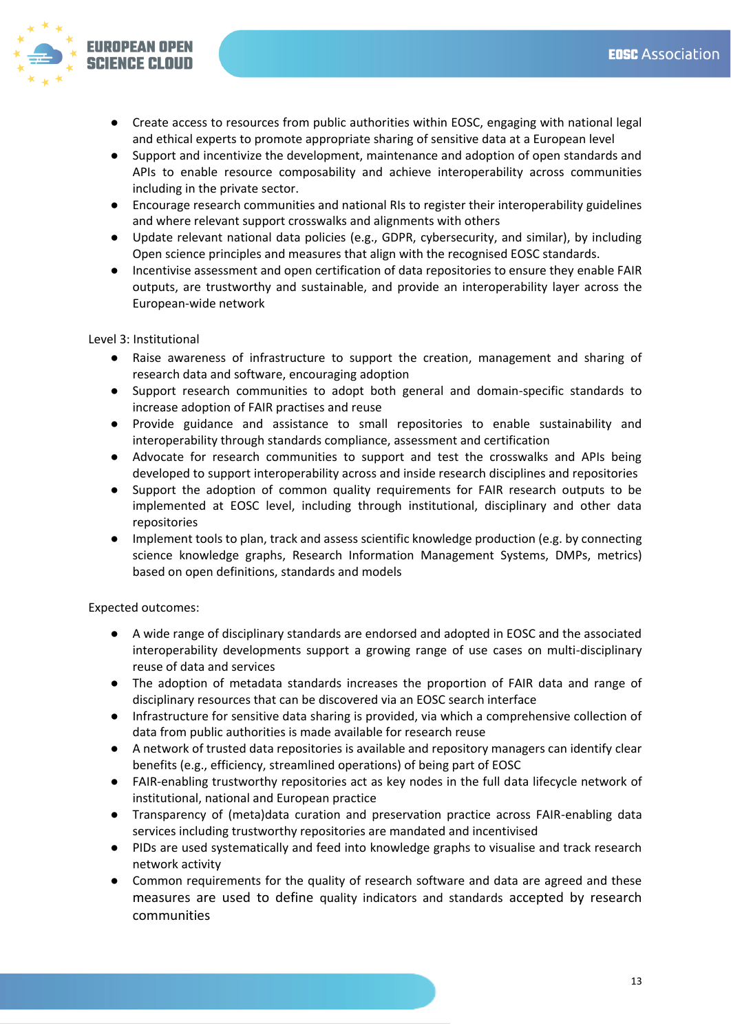

- FIIDNDFA
	- Create access to resources from public authorities within EOSC, engaging with national legal and ethical experts to promote appropriate sharing of sensitive data at a European level
	- Support and incentivize the development, maintenance and adoption of open standards and APIs to enable resource composability and achieve interoperability across communities including in the private sector.
	- Encourage research communities and national RIs to register their interoperability guidelines and where relevant support crosswalks and alignments with others
	- Update relevant national data policies (e.g., GDPR, cybersecurity, and similar), by including Open science principles and measures that align with the recognised EOSC standards.
	- Incentivise assessment and open certification of data repositories to ensure they enable FAIR outputs, are trustworthy and sustainable, and provide an interoperability layer across the European-wide network

Level 3: Institutional

- Raise awareness of infrastructure to support the creation, management and sharing of research data and software, encouraging adoption
- Support research communities to adopt both general and domain-specific standards to increase adoption of FAIR practises and reuse
- Provide guidance and assistance to small repositories to enable sustainability and interoperability through standards compliance, assessment and certification
- Advocate for research communities to support and test the crosswalks and APIs being developed to support interoperability across and inside research disciplines and repositories
- Support the adoption of common quality requirements for FAIR research outputs to be implemented at EOSC level, including through institutional, disciplinary and other data repositories
- Implement tools to plan, track and assess scientific knowledge production (e.g. by connecting science knowledge graphs, Research Information Management Systems, DMPs, metrics) based on open definitions, standards and models

Expected outcomes:

- A wide range of disciplinary standards are endorsed and adopted in EOSC and the associated interoperability developments support a growing range of use cases on multi-disciplinary reuse of data and services
- The adoption of metadata standards increases the proportion of FAIR data and range of disciplinary resources that can be discovered via an EOSC search interface
- Infrastructure for sensitive data sharing is provided, via which a comprehensive collection of data from public authorities is made available for research reuse
- A network of trusted data repositories is available and repository managers can identify clear benefits (e.g., efficiency, streamlined operations) of being part of EOSC
- FAIR-enabling trustworthy repositories act as key nodes in the full data lifecycle network of institutional, national and European practice
- Transparency of (meta)data curation and preservation practice across FAIR-enabling data services including trustworthy repositories are mandated and incentivised
- PIDs are used systematically and feed into knowledge graphs to visualise and track research network activity
- Common requirements for the quality of research software and data are agreed and these measures are used to define quality indicators and standards accepted by research communities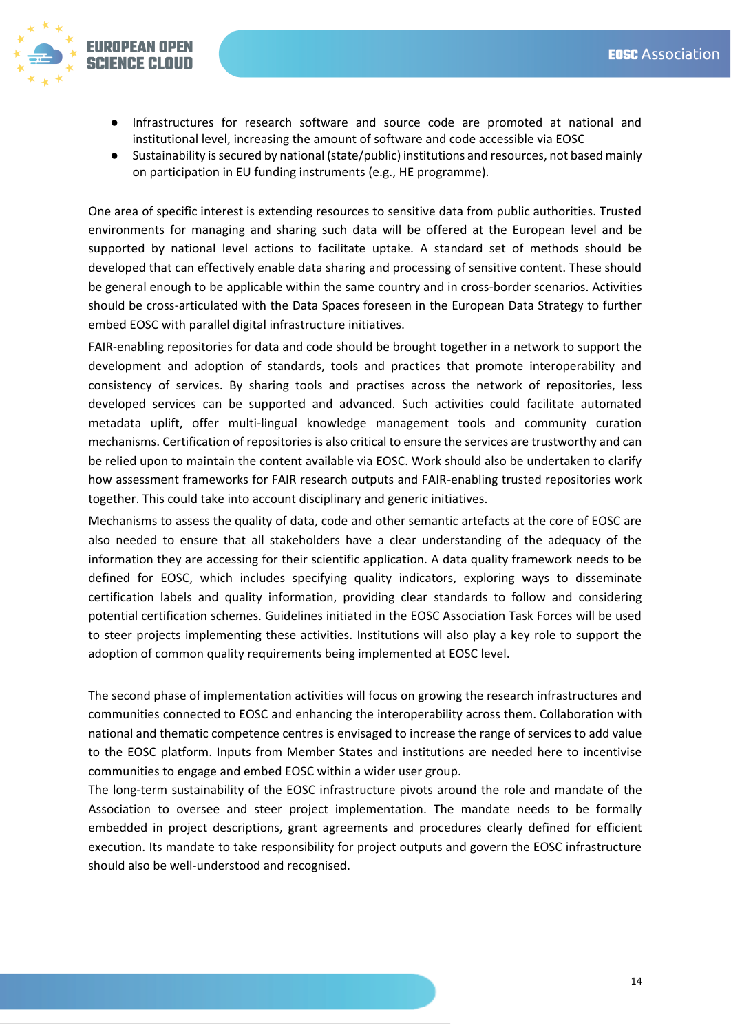

- Infrastructures for research software and source code are promoted at national and institutional level, increasing the amount of software and code accessible via EOSC
- Sustainability is secured by national (state/public) institutions and resources, not based mainly on participation in EU funding instruments (e.g., HE programme).

One area of specific interest is extending resources to sensitive data from public authorities. Trusted environments for managing and sharing such data will be offered at the European level and be supported by national level actions to facilitate uptake. A standard set of methods should be developed that can effectively enable data sharing and processing of sensitive content. These should be general enough to be applicable within the same country and in cross-border scenarios. Activities should be cross-articulated with the Data Spaces foreseen in the European Data Strategy to further embed EOSC with parallel digital infrastructure initiatives.

FAIR-enabling repositories for data and code should be brought together in a network to support the development and adoption of standards, tools and practices that promote interoperability and consistency of services. By sharing tools and practises across the network of repositories, less developed services can be supported and advanced. Such activities could facilitate automated metadata uplift, offer multi-lingual knowledge management tools and community curation mechanisms. Certification of repositories is also critical to ensure the services are trustworthy and can be relied upon to maintain the content available via EOSC. Work should also be undertaken to clarify how assessment frameworks for FAIR research outputs and FAIR-enabling trusted repositories work together. This could take into account disciplinary and generic initiatives.

Mechanisms to assess the quality of data, code and other semantic artefacts at the core of EOSC are also needed to ensure that all stakeholders have a clear understanding of the adequacy of the information they are accessing for their scientific application. A data quality framework needs to be defined for EOSC, which includes specifying quality indicators, exploring ways to disseminate certification labels and quality information, providing clear standards to follow and considering potential certification schemes. Guidelines initiated in the EOSC Association Task Forces will be used to steer projects implementing these activities. Institutions will also play a key role to support the adoption of common quality requirements being implemented at EOSC level.

The second phase of implementation activities will focus on growing the research infrastructures and communities connected to EOSC and enhancing the interoperability across them. Collaboration with national and thematic competence centres is envisaged to increase the range of services to add value to the EOSC platform. Inputs from Member States and institutions are needed here to incentivise communities to engage and embed EOSC within a wider user group.

The long-term sustainability of the EOSC infrastructure pivots around the role and mandate of the Association to oversee and steer project implementation. The mandate needs to be formally embedded in project descriptions, grant agreements and procedures clearly defined for efficient execution. Its mandate to take responsibility for project outputs and govern the EOSC infrastructure should also be well-understood and recognised.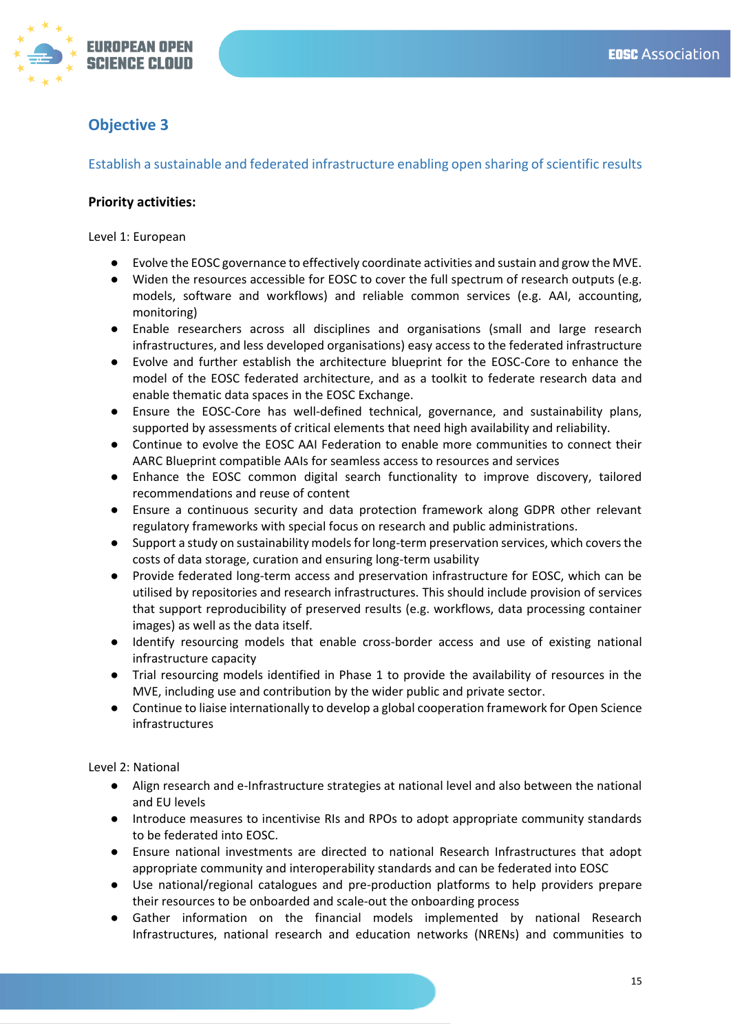

# **Objective 3**

Establish a sustainable and federated infrastructure enabling open sharing of scientific results

#### **Priority activities:**

Level 1: European

- Evolve the EOSC governance to effectively coordinate activities and sustain and grow the MVE.
- Widen the resources accessible for EOSC to cover the full spectrum of research outputs (e.g. models, software and workflows) and reliable common services (e.g. AAI, accounting, monitoring)
- Enable researchers across all disciplines and organisations (small and large research infrastructures, and less developed organisations) easy access to the federated infrastructure
- Evolve and further establish the architecture blueprint for the EOSC-Core to enhance the model of the EOSC federated architecture, and as a toolkit to federate research data and enable thematic data spaces in the EOSC Exchange.
- Ensure the EOSC-Core has well-defined technical, governance, and sustainability plans, supported by assessments of critical elements that need high availability and reliability.
- Continue to evolve the EOSC AAI Federation to enable more communities to connect their AARC Blueprint compatible AAIs for seamless access to resources and services
- Enhance the EOSC common digital search functionality to improve discovery, tailored recommendations and reuse of content
- Ensure a continuous security and data protection framework along GDPR other relevant regulatory frameworks with special focus on research and public administrations.
- Support a study on sustainability models for long-term preservation services, which covers the costs of data storage, curation and ensuring long-term usability
- Provide federated long-term access and preservation infrastructure for EOSC, which can be utilised by repositories and research infrastructures. This should include provision of services that support reproducibility of preserved results (e.g. workflows, data processing container images) as well as the data itself.
- Identify resourcing models that enable cross-border access and use of existing national infrastructure capacity
- Trial resourcing models identified in Phase 1 to provide the availability of resources in the MVE, including use and contribution by the wider public and private sector.
- Continue to liaise internationally to develop a global cooperation framework for Open Science infrastructures

Level 2: National

- Align research and e-Infrastructure strategies at national level and also between the national and EU levels
- Introduce measures to incentivise RIs and RPOs to adopt appropriate community standards to be federated into EOSC.
- Ensure national investments are directed to national Research Infrastructures that adopt appropriate community and interoperability standards and can be federated into EOSC
- Use national/regional catalogues and pre-production platforms to help providers prepare their resources to be onboarded and scale-out the onboarding process
- Gather information on the financial models implemented by national Research Infrastructures, national research and education networks (NRENs) and communities to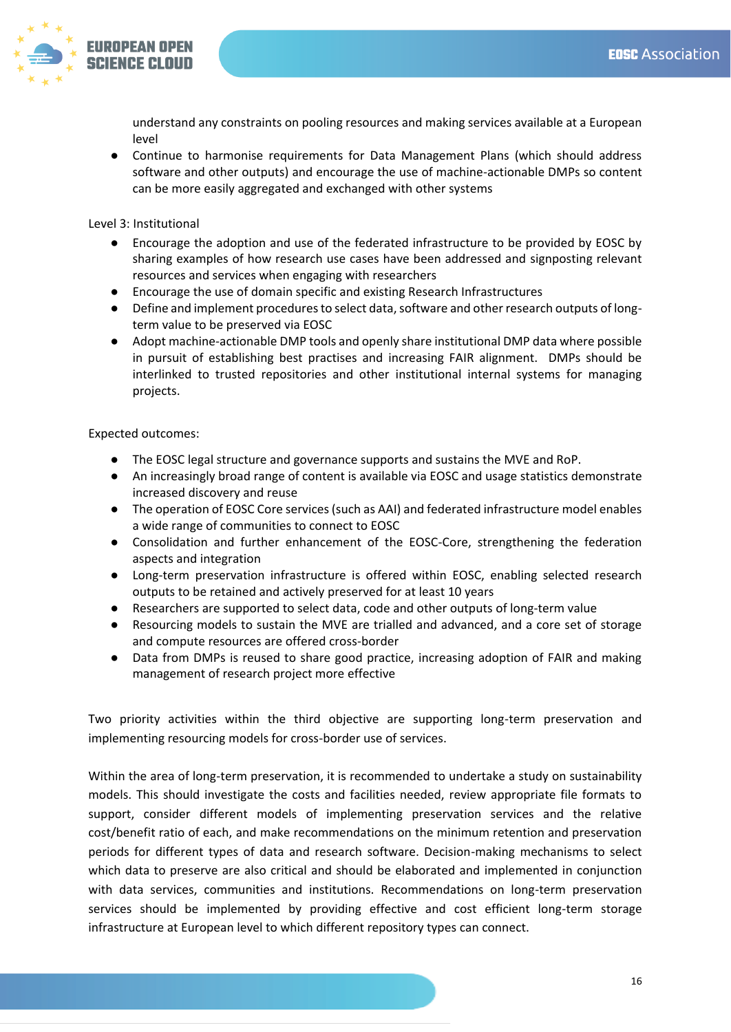

understand any constraints on pooling resources and making services available at a European level

● Continue to harmonise requirements for Data Management Plans (which should address software and other outputs) and encourage the use of machine-actionable DMPs so content can be more easily aggregated and exchanged with other systems

Level 3: Institutional

- Encourage the adoption and use of the federated infrastructure to be provided by EOSC by sharing examples of how research use cases have been addressed and signposting relevant resources and services when engaging with researchers
- Encourage the use of domain specific and existing Research Infrastructures
- Define and implement procedures to select data, software and other research outputs of longterm value to be preserved via EOSC
- Adopt machine-actionable DMP tools and openly share institutional DMP data where possible in pursuit of establishing best practises and increasing FAIR alignment. DMPs should be interlinked to trusted repositories and other institutional internal systems for managing projects.

Expected outcomes:

- The EOSC legal structure and governance supports and sustains the MVE and RoP.
- An increasingly broad range of content is available via EOSC and usage statistics demonstrate increased discovery and reuse
- The operation of EOSC Core services (such as AAI) and federated infrastructure model enables a wide range of communities to connect to EOSC
- Consolidation and further enhancement of the EOSC-Core, strengthening the federation aspects and integration
- Long-term preservation infrastructure is offered within EOSC, enabling selected research outputs to be retained and actively preserved for at least 10 years
- Researchers are supported to select data, code and other outputs of long-term value
- Resourcing models to sustain the MVE are trialled and advanced, and a core set of storage and compute resources are offered cross-border
- Data from DMPs is reused to share good practice, increasing adoption of FAIR and making management of research project more effective

Two priority activities within the third objective are supporting long-term preservation and implementing resourcing models for cross-border use of services.

Within the area of long-term preservation, it is recommended to undertake a study on sustainability models. This should investigate the costs and facilities needed, review appropriate file formats to support, consider different models of implementing preservation services and the relative cost/benefit ratio of each, and make recommendations on the minimum retention and preservation periods for different types of data and research software. Decision-making mechanisms to select which data to preserve are also critical and should be elaborated and implemented in conjunction with data services, communities and institutions. Recommendations on long-term preservation services should be implemented by providing effective and cost efficient long-term storage infrastructure at European level to which different repository types can connect.